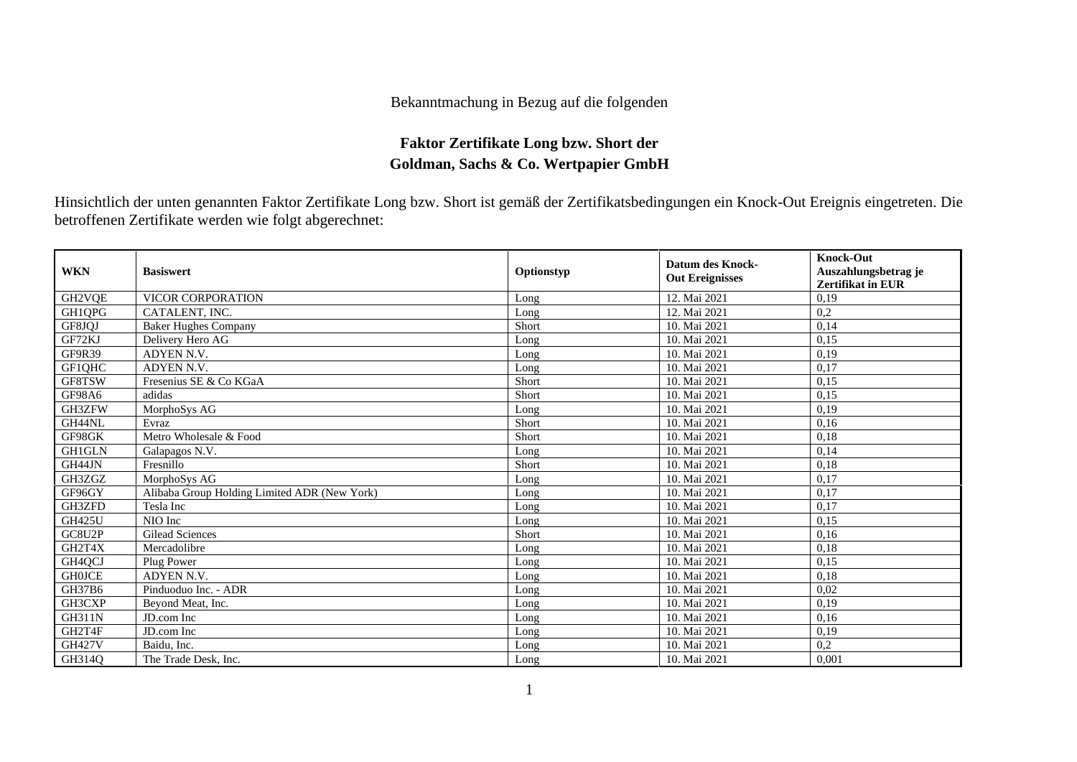## Bekanntmachung in Bezug auf die folgenden

## **Faktor Zertifikate Long bzw. Short der Goldman, Sachs & Co. Wertpapier GmbH**

Hinsichtlich der unten genannten Faktor Zertifikate Long bzw. Short ist gemäß der Zertifikatsbedingungen ein Knock-Out Ereignis eingetreten. Die betroffenen Zertifikate werden wie folgt abgerechnet:

| <b>WKN</b>          | <b>Basiswert</b>                             | Optionstyp | <b>Datum des Knock-</b><br><b>Out Ereignisses</b> | <b>Knock-Out</b><br>Auszahlungsbetrag je<br>Zertifikat in EUR |
|---------------------|----------------------------------------------|------------|---------------------------------------------------|---------------------------------------------------------------|
| GH2VQE              | VICOR CORPORATION                            | Long       | 12. Mai 2021                                      | 0,19                                                          |
| GH1QPG              | CATALENT, INC.                               | Long       | 12. Mai 2021                                      | 0,2                                                           |
| GF8JQJ              | <b>Baker Hughes Company</b>                  | Short      | 10. Mai 2021                                      | 0,14                                                          |
| GF72KJ              | Delivery Hero AG                             | Long       | 10. Mai 2021                                      | 0,15                                                          |
| <b>GF9R39</b>       | ADYEN N.V.                                   | Long       | 10. Mai 2021                                      | 0,19                                                          |
| GF1QHC              | ADYEN N.V.                                   | Long       | 10. Mai 2021                                      | 0,17                                                          |
| GF8TSW              | Fresenius SE & Co KGaA                       | Short      | 10. Mai 2021                                      | 0,15                                                          |
| <b>GF98A6</b>       | adidas                                       | Short      | 10. Mai 2021                                      | 0,15                                                          |
| GH3ZFW              | MorphoSys AG                                 | Long       | 10. Mai 2021                                      | 0,19                                                          |
| GH44NL              | Evraz                                        | Short      | 10. Mai 2021                                      | 0,16                                                          |
| GF98GK              | Metro Wholesale & Food                       | Short      | 10. Mai 2021                                      | 0,18                                                          |
| <b>GH1GLN</b>       | Galapagos N.V.                               | Long       | 10. Mai 2021                                      | 0,14                                                          |
| GH44JN              | Fresnillo                                    | Short      | 10. Mai 2021                                      | 0,18                                                          |
| GH3ZGZ              | MorphoSys AG                                 | Long       | 10. Mai 2021                                      | 0,17                                                          |
| GF96GY              | Alibaba Group Holding Limited ADR (New York) | Long       | 10. Mai 2021                                      | 0,17                                                          |
| GH3ZFD              | Tesla Inc                                    | Long       | 10. Mai 2021                                      | 0,17                                                          |
| GH425U              | NIO Inc                                      | Long       | 10. Mai 2021                                      | 0,15                                                          |
| GC8U2P              | <b>Gilead Sciences</b>                       | Short      | 10. Mai 2021                                      | 0,16                                                          |
| GH2T4X              | Mercadolibre                                 | Long       | 10. Mai 2021                                      | 0,18                                                          |
| GH <sub>4</sub> OCJ | Plug Power                                   | Long       | 10. Mai 2021                                      | 0,15                                                          |
| <b>GH0JCE</b>       | ADYEN N.V.                                   | Long       | 10. Mai 2021                                      | 0,18                                                          |
| GH37B6              | Pinduoduo Inc. - ADR                         | Long       | 10. Mai 2021                                      | 0,02                                                          |
| GH3CXP              | Beyond Meat, Inc.                            | Long       | 10. Mai 2021                                      | 0,19                                                          |
| <b>GH311N</b>       | JD.com Inc                                   | Long       | 10. Mai 2021                                      | 0,16                                                          |
| GH2T4F              | JD.com Inc                                   | Long       | 10. Mai 2021                                      | 0,19                                                          |
| <b>GH427V</b>       | Baidu, Inc.                                  | Long       | 10. Mai 2021                                      | 0,2                                                           |
| GH314O              | The Trade Desk, Inc.                         | Long       | 10. Mai 2021                                      | 0,001                                                         |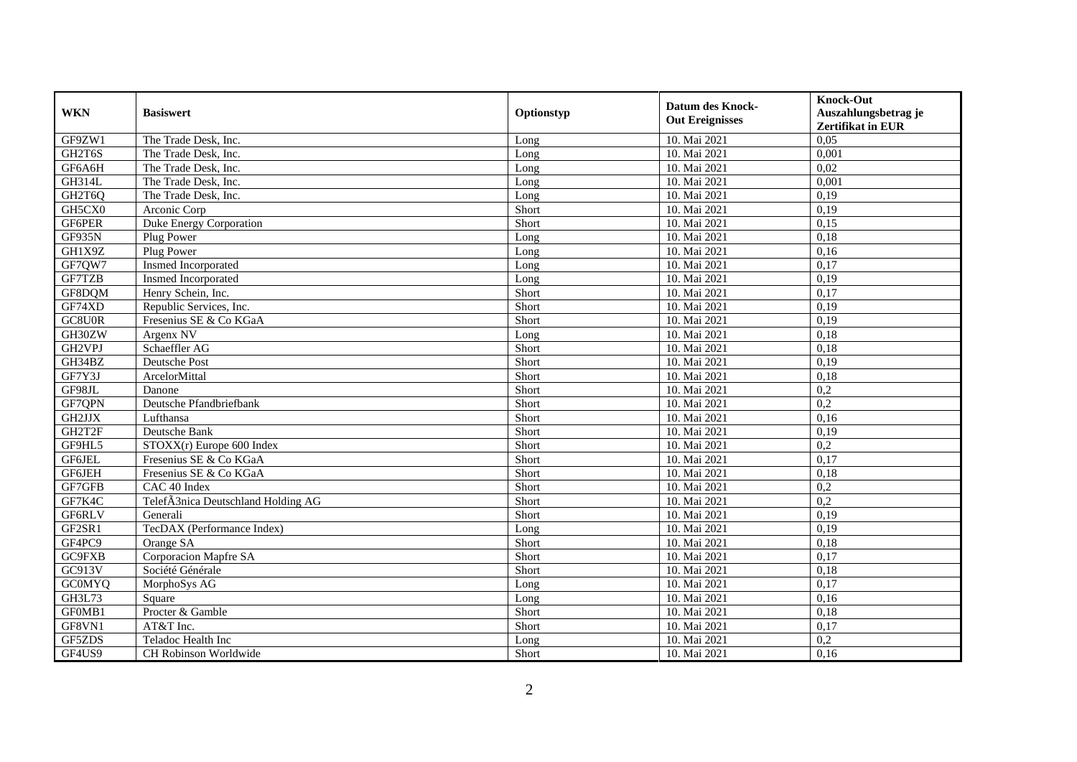| <b>WKN</b>    | <b>Basiswert</b>                   | Optionstyp | <b>Datum des Knock-</b><br><b>Out Ereignisses</b> | <b>Knock-Out</b><br>Auszahlungsbetrag je<br><b>Zertifikat in EUR</b> |
|---------------|------------------------------------|------------|---------------------------------------------------|----------------------------------------------------------------------|
| GF9ZW1        | The Trade Desk, Inc.               | Long       | 10. Mai 2021                                      | 0,05                                                                 |
| GH2T6S        | The Trade Desk, Inc.               | Long       | 10. Mai 2021                                      | 0,001                                                                |
| GF6A6H        | The Trade Desk, Inc.               | Long       | 10. Mai 2021                                      | 0,02                                                                 |
| <b>GH314L</b> | The Trade Desk, Inc.               | Long       | 10. Mai 2021                                      | 0,001                                                                |
| GH2T6Q        | The Trade Desk, Inc.               | Long       | 10. Mai 2021                                      | 0,19                                                                 |
| GH5CX0        | Arconic Corp                       | Short      | 10. Mai 2021                                      | 0,19                                                                 |
| GF6PER        | <b>Duke Energy Corporation</b>     | Short      | 10. Mai 2021                                      | 0,15                                                                 |
| GF935N        | Plug Power                         | Long       | 10. Mai 2021                                      | 0,18                                                                 |
| GH1X9Z        | Plug Power                         | Long       | 10. Mai 2021                                      | 0,16                                                                 |
| GF7QW7        | Insmed Incorporated                | Long       | 10. Mai 2021                                      | 0,17                                                                 |
| GF7TZB        | Insmed Incorporated                | Long       | 10. Mai 2021                                      | 0,19                                                                 |
| GF8DQM        | Henry Schein, Inc.                 | Short      | 10. Mai 2021                                      | 0,17                                                                 |
| GF74XD        | Republic Services, Inc.            | Short      | 10. Mai 2021                                      | 0,19                                                                 |
| GC8U0R        | Fresenius SE & Co KGaA             | Short      | 10. Mai 2021                                      | 0,19                                                                 |
| GH30ZW        | Argenx NV                          | Long       | 10. Mai 2021                                      | 0,18                                                                 |
| GH2VPJ        | Schaeffler AG                      | Short      | 10. Mai 2021                                      | 0,18                                                                 |
| GH34BZ        | Deutsche Post                      | Short      | 10. Mai 2021                                      | 0,19                                                                 |
| GF7Y3J        | ArcelorMittal                      | Short      | 10. Mai 2021                                      | 0,18                                                                 |
| GF98JL        | Danone                             | Short      | 10. Mai 2021                                      | 0,2                                                                  |
| GF7QPN        | Deutsche Pfandbriefbank            | Short      | 10. Mai 2021                                      | 0,2                                                                  |
| GH2JJX        | Lufthansa                          | Short      | 10. Mai 2021                                      | 0,16                                                                 |
| GH2T2F        | Deutsche Bank                      | Short      | 10. Mai 2021                                      | 0,19                                                                 |
| GF9HL5        | STOXX(r) Europe 600 Index          | Short      | 10. Mai 2021                                      | 0,2                                                                  |
| GF6JEL        | Fresenius SE & Co KGaA             | Short      | 10. Mai 2021                                      | 0,17                                                                 |
| <b>GF6JEH</b> | Fresenius SE & Co KGaA             | Short      | 10. Mai 2021                                      | 0,18                                                                 |
| GF7GFB        | CAC 40 Index                       | Short      | 10. Mai 2021                                      | 0,2                                                                  |
| GF7K4C        | TelefÃ3nica Deutschland Holding AG | Short      | 10. Mai 2021                                      | 0,2                                                                  |
| GF6RLV        | Generali                           | Short      | 10. Mai 2021                                      | 0,19                                                                 |
| GF2SR1        | TecDAX (Performance Index)         | Long       | 10. Mai 2021                                      | 0,19                                                                 |
| GF4PC9        | Orange SA                          | Short      | 10. Mai 2021                                      | 0,18                                                                 |
| GC9FXB        | Corporacion Mapfre SA              | Short      | 10. Mai 2021                                      | 0,17                                                                 |
| GC913V        | Société Générale                   | Short      | 10. Mai 2021                                      | 0,18                                                                 |
| <b>GCOMYQ</b> | MorphoSys AG                       | Long       | 10. Mai 2021                                      | 0,17                                                                 |
| GH3L73        | Square                             | Long       | 10. Mai 2021                                      | 0,16                                                                 |
| GF0MB1        | Procter & Gamble                   | Short      | 10. Mai 2021                                      | 0,18                                                                 |
| GF8VN1        | AT&T Inc.                          | Short      | 10. Mai 2021                                      | 0,17                                                                 |
| GF5ZDS        | Teladoc Health Inc                 | Long       | 10. Mai 2021                                      | 0,2                                                                  |
| GF4US9        | CH Robinson Worldwide              | Short      | 10. Mai 2021                                      | 0,16                                                                 |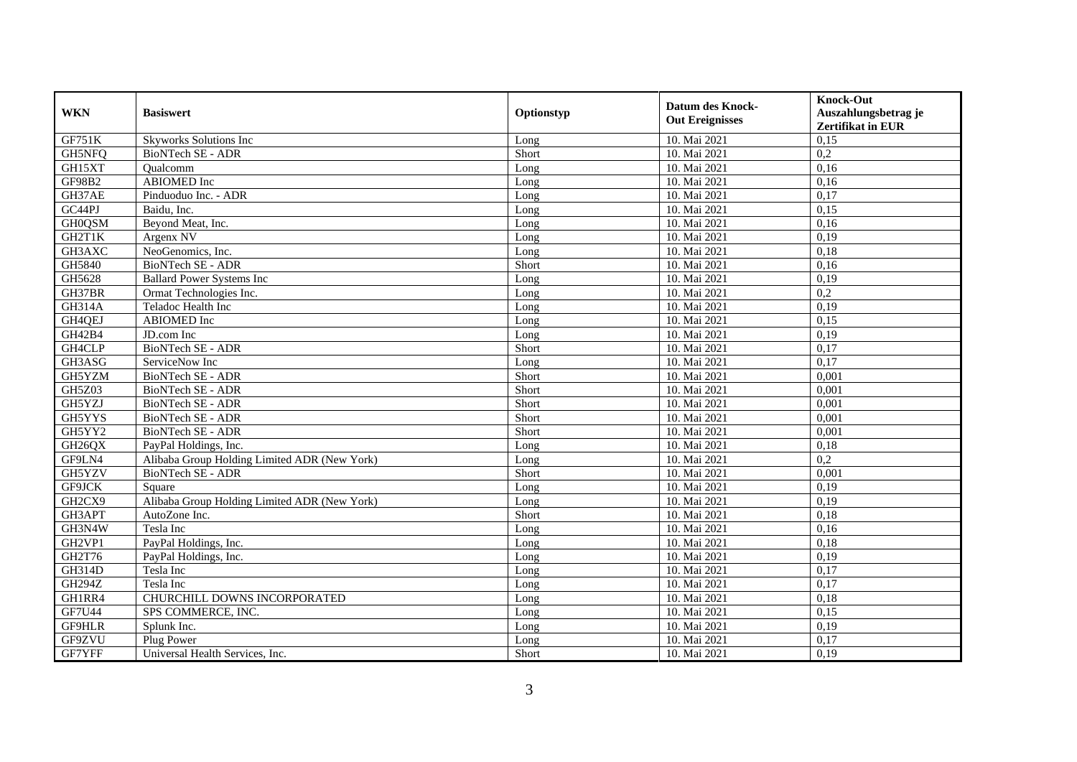| <b>WKN</b>    | <b>Basiswert</b>                             | Optionstyp | <b>Datum des Knock-</b><br><b>Out Ereignisses</b> | <b>Knock-Out</b><br>Auszahlungsbetrag je<br><b>Zertifikat in EUR</b> |
|---------------|----------------------------------------------|------------|---------------------------------------------------|----------------------------------------------------------------------|
| GF751K        | Skyworks Solutions Inc                       | Long       | 10. Mai 2021                                      | 0,15                                                                 |
| GH5NFQ        | BioNTech SE - ADR                            | Short      | 10. Mai 2021                                      | 0,2                                                                  |
| GH15XT        | Oualcomm                                     | Long       | 10. Mai 2021                                      | 0,16                                                                 |
| <b>GF98B2</b> | <b>ABIOMED</b> Inc                           | Long       | 10. Mai 2021                                      | 0,16                                                                 |
| GH37AE        | Pinduoduo Inc. - ADR                         | Long       | 10. Mai 2021                                      | 0,17                                                                 |
| GC44PJ        | Baidu, Inc.                                  | Long       | 10. Mai 2021                                      | 0,15                                                                 |
| <b>GH0QSM</b> | Beyond Meat, Inc.                            | Long       | 10. Mai 2021                                      | 0,16                                                                 |
| GH2T1K        | Argenx NV                                    | Long       | 10. Mai 2021                                      | 0,19                                                                 |
| GH3AXC        | NeoGenomics, Inc.                            | Long       | 10. Mai 2021                                      | 0,18                                                                 |
| GH5840        | BioNTech SE - ADR                            | Short      | 10. Mai 2021                                      | 0,16                                                                 |
| GH5628        | <b>Ballard Power Systems Inc</b>             | Long       | 10. Mai 2021                                      | 0,19                                                                 |
| GH37BR        | Ormat Technologies Inc.                      | Long       | 10. Mai 2021                                      | 0,2                                                                  |
| GH314A        | Teladoc Health Inc                           | Long       | 10. Mai 2021                                      | 0,19                                                                 |
| GH4QEJ        | <b>ABIOMED</b> Inc                           | Long       | 10. Mai 2021                                      | 0,15                                                                 |
| GH42B4        | JD.com Inc                                   | Long       | 10. Mai 2021                                      | 0,19                                                                 |
| GH4CLP        | <b>BioNTech SE - ADR</b>                     | Short      | 10. Mai 2021                                      | 0,17                                                                 |
| GH3ASG        | ServiceNow Inc                               | Long       | 10. Mai 2021                                      | 0,17                                                                 |
| GH5YZM        | <b>BioNTech SE - ADR</b>                     | Short      | 10. Mai 2021                                      | 0.001                                                                |
| GH5Z03        | BioNTech SE - ADR                            | Short      | 10. Mai 2021                                      | 0,001                                                                |
| GH5YZJ        | <b>BioNTech SE - ADR</b>                     | Short      | 10. Mai 2021                                      | 0,001                                                                |
| GH5YYS        | <b>BioNTech SE - ADR</b>                     | Short      | 10. Mai 2021                                      | 0,001                                                                |
| GH5YY2        | <b>BioNTech SE - ADR</b>                     | Short      | 10. Mai 2021                                      | 0,001                                                                |
| GH26QX        | PayPal Holdings, Inc.                        | Long       | 10. Mai 2021                                      | 0,18                                                                 |
| GF9LN4        | Alibaba Group Holding Limited ADR (New York) | Long       | 10. Mai 2021                                      | 0,2                                                                  |
| GH5YZV        | <b>BioNTech SE - ADR</b>                     | Short      | 10. Mai 2021                                      | 0.001                                                                |
| GF9JCK        | Square                                       | Long       | 10. Mai 2021                                      | 0,19                                                                 |
| GH2CX9        | Alibaba Group Holding Limited ADR (New York) | Long       | 10. Mai 2021                                      | 0,19                                                                 |
| GH3APT        | AutoZone Inc.                                | Short      | 10. Mai 2021                                      | 0,18                                                                 |
| GH3N4W        | Tesla Inc                                    | Long       | 10. Mai 2021                                      | 0,16                                                                 |
| GH2VP1        | PayPal Holdings, Inc.                        | Long       | 10. Mai 2021                                      | 0,18                                                                 |
| GH2T76        | PayPal Holdings, Inc.                        | Long       | 10. Mai 2021                                      | 0,19                                                                 |
| GH314D        | Tesla Inc                                    | Long       | 10. Mai 2021                                      | 0,17                                                                 |
| <b>GH294Z</b> | Tesla Inc                                    | Long       | 10. Mai 2021                                      | 0,17                                                                 |
| GH1RR4        | CHURCHILL DOWNS INCORPORATED                 | Long       | 10. Mai 2021                                      | 0,18                                                                 |
| <b>GF7U44</b> | SPS COMMERCE, INC.                           | Long       | 10. Mai 2021                                      | 0,15                                                                 |
| GF9HLR        | Splunk Inc.                                  | Long       | 10. Mai 2021                                      | 0,19                                                                 |
| GF9ZVU        | Plug Power                                   | Long       | 10. Mai 2021                                      | 0,17                                                                 |
| GF7YFF        | Universal Health Services, Inc.              | Short      | 10. Mai 2021                                      | 0,19                                                                 |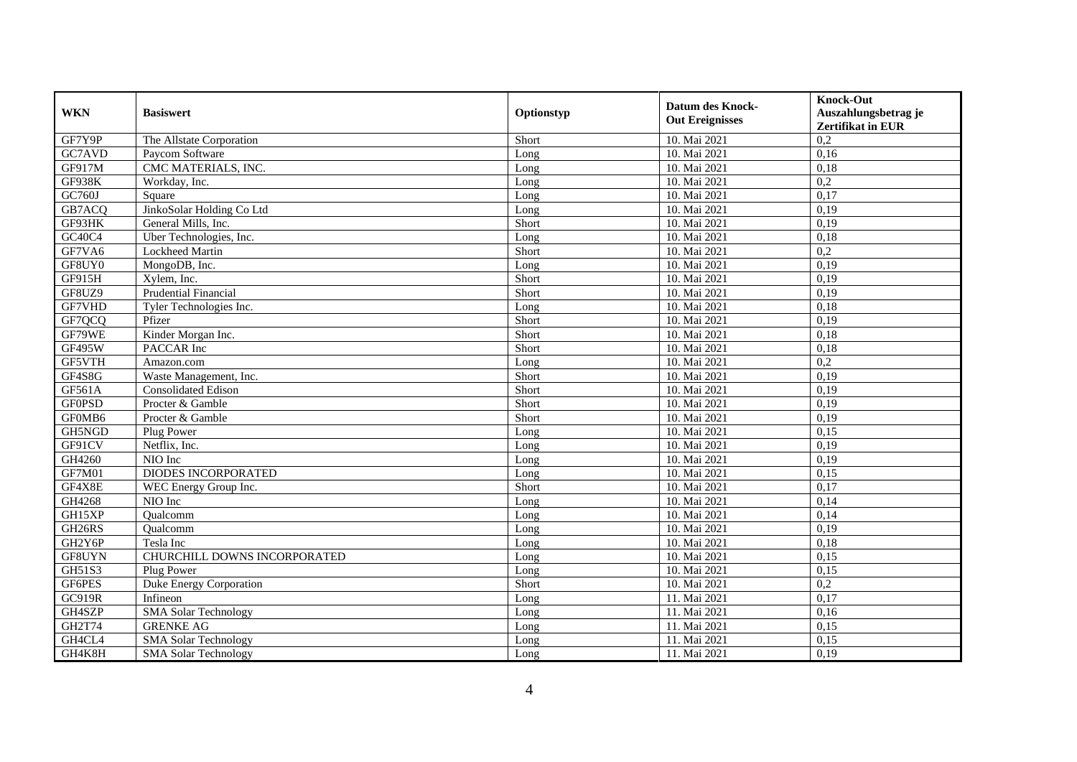| <b>WKN</b>    | <b>Basiswert</b>             | Optionstyp | <b>Datum des Knock-</b><br><b>Out Ereignisses</b> | <b>Knock-Out</b><br>Auszahlungsbetrag je<br><b>Zertifikat in EUR</b> |
|---------------|------------------------------|------------|---------------------------------------------------|----------------------------------------------------------------------|
| GF7Y9P        | The Allstate Corporation     | Short      | 10. Mai 2021                                      | 0,2                                                                  |
| GC7AVD        | Paycom Software              | Long       | 10. Mai 2021                                      | 0,16                                                                 |
| GF917M        | CMC MATERIALS, INC.          | Long       | 10. Mai 2021                                      | 0,18                                                                 |
| <b>GF938K</b> | Workday, Inc.                | Long       | 10. Mai 2021                                      | 0,2                                                                  |
| GC760J        | Square                       | Long       | 10. Mai 2021                                      | 0,17                                                                 |
| GB7ACQ        | JinkoSolar Holding Co Ltd    | Long       | 10. Mai 2021                                      | 0,19                                                                 |
| GF93HK        | General Mills, Inc.          | Short      | 10. Mai 2021                                      | 0,19                                                                 |
| GC40C4        | Uber Technologies, Inc.      | Long       | 10. Mai 2021                                      | 0,18                                                                 |
| GF7VA6        | Lockheed Martin              | Short      | 10. Mai 2021                                      | 0,2                                                                  |
| GF8UY0        | MongoDB, Inc.                | Long       | 10. Mai 2021                                      | 0,19                                                                 |
| GF915H        | Xylem, Inc.                  | Short      | 10. Mai 2021                                      | 0,19                                                                 |
| GF8UZ9        | <b>Prudential Financial</b>  | Short      | 10. Mai 2021                                      | 0,19                                                                 |
| GF7VHD        | Tyler Technologies Inc.      | Long       | 10. Mai 2021                                      | 0,18                                                                 |
| GF7QCQ        | Pfizer                       | Short      | 10. Mai 2021                                      | 0,19                                                                 |
| GF79WE        | Kinder Morgan Inc.           | Short      | 10. Mai 2021                                      | 0,18                                                                 |
| GF495W        | PACCAR Inc                   | Short      | 10. Mai 2021                                      | 0,18                                                                 |
| GF5VTH        | Amazon.com                   | Long       | 10. Mai 2021                                      | 0,2                                                                  |
| GF4S8G        | Waste Management, Inc.       | Short      | 10. Mai 2021                                      | 0,19                                                                 |
| GF561A        | <b>Consolidated Edison</b>   | Short      | 10. Mai 2021                                      | 0,19                                                                 |
| <b>GF0PSD</b> | Procter & Gamble             | Short      | 10. Mai 2021                                      | 0,19                                                                 |
| GF0MB6        | Procter & Gamble             | Short      | 10. Mai 2021                                      | 0,19                                                                 |
| GH5NGD        | Plug Power                   | Long       | 10. Mai 2021                                      | 0.15                                                                 |
| GF91CV        | Netflix, Inc.                | Long       | 10. Mai 2021                                      | 0,19                                                                 |
| GH4260        | NIO Inc                      | Long       | 10. Mai 2021                                      | 0,19                                                                 |
| GF7M01        | <b>DIODES INCORPORATED</b>   | Long       | 10. Mai 2021                                      | 0,15                                                                 |
| GF4X8E        | WEC Energy Group Inc.        | Short      | 10. Mai 2021                                      | 0,17                                                                 |
| GH4268        | NIO Inc                      | Long       | 10. Mai 2021                                      | 0,14                                                                 |
| GH15XP        | Qualcomm                     | Long       | 10. Mai 2021                                      | 0,14                                                                 |
| GH26RS        | Qualcomm                     | Long       | 10. Mai 2021                                      | 0,19                                                                 |
| GH2Y6P        | Tesla Inc                    | Long       | 10. Mai 2021                                      | 0,18                                                                 |
| GF8UYN        | CHURCHILL DOWNS INCORPORATED | Long       | 10. Mai 2021                                      | 0,15                                                                 |
| GH51S3        | Plug Power                   | Long       | 10. Mai 2021                                      | 0,15                                                                 |
| GF6PES        | Duke Energy Corporation      | Short      | 10. Mai 2021                                      | 0,2                                                                  |
| GC919R        | Infineon                     | Long       | 11. Mai 2021                                      | 0,17                                                                 |
| GH4SZP        | <b>SMA Solar Technology</b>  | Long       | 11. Mai 2021                                      | 0,16                                                                 |
| GH2T74        | <b>GRENKE AG</b>             | Long       | 11. Mai 2021                                      | 0,15                                                                 |
| GH4CL4        | <b>SMA Solar Technology</b>  | Long       | 11. Mai 2021                                      | 0,15                                                                 |
| GH4K8H        | <b>SMA Solar Technology</b>  | Long       | 11. Mai 2021                                      | 0,19                                                                 |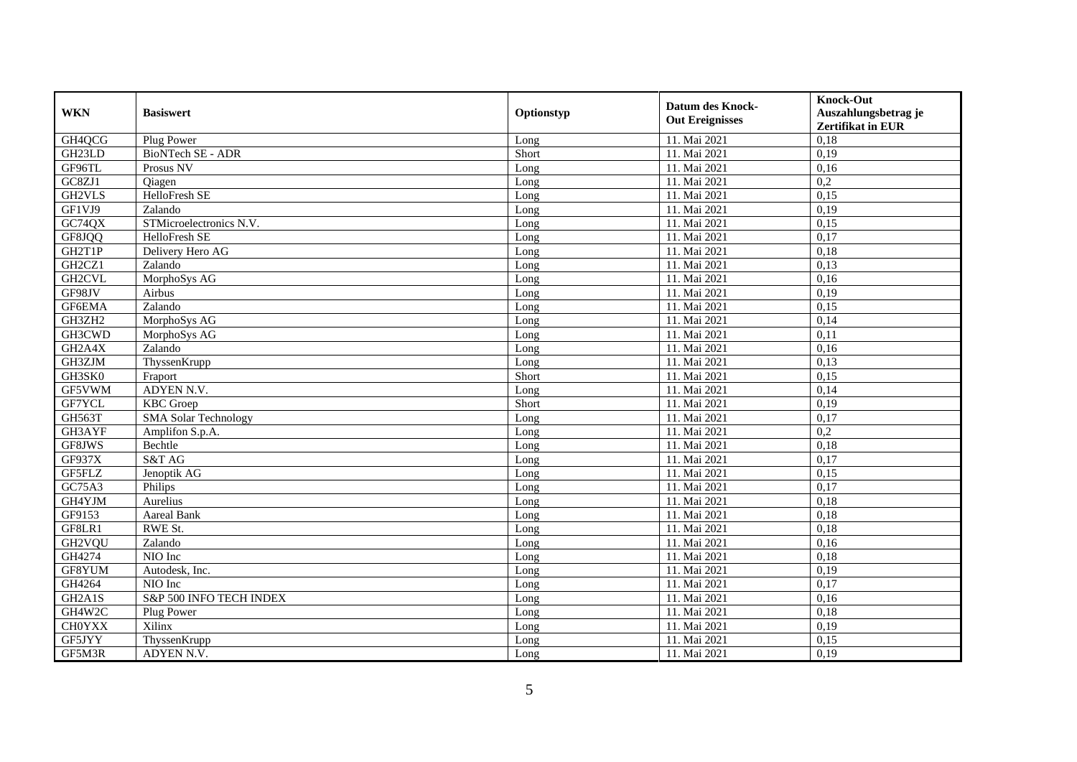| <b>WKN</b>                       | <b>Basiswert</b>            | Optionstyp | <b>Datum des Knock-</b><br><b>Out Ereignisses</b> | <b>Knock-Out</b><br>Auszahlungsbetrag je<br>Zertifikat in EUR |
|----------------------------------|-----------------------------|------------|---------------------------------------------------|---------------------------------------------------------------|
| GH4QCG                           | Plug Power                  | Long       | 11. Mai 2021                                      | 0,18                                                          |
| GH <sub>23</sub> LD              | BioNTech SE - ADR           | Short      | 11. Mai 2021                                      | 0,19                                                          |
| GF96TL                           | Prosus NV                   | Long       | 11. Mai 2021                                      | 0,16                                                          |
| GC8ZJ1                           | Qiagen                      | Long       | 11. Mai 2021                                      | 0,2                                                           |
| GH2VLS                           | <b>HelloFresh SE</b>        | Long       | 11. Mai 2021                                      | 0,15                                                          |
| GF1VJ9                           | Zalando                     | Long       | 11. Mai 2021                                      | 0,19                                                          |
| GC74QX                           | STMicroelectronics N.V.     | Long       | 11. Mai 2021                                      | 0,15                                                          |
| GF8JQQ                           | HelloFresh SE               | Long       | 11. Mai 2021                                      | 0,17                                                          |
| GH2T1P                           | Delivery Hero AG            | Long       | 11. Mai 2021                                      | 0,18                                                          |
| GH <sub>2</sub> CZ <sub>1</sub>  | Zalando                     | Long       | 11. Mai 2021                                      | 0,13                                                          |
| <b>GH2CVL</b>                    | MorphoSys AG                | Long       | 11. Mai 2021                                      | 0,16                                                          |
| GF98JV                           | Airbus                      | Long       | 11. Mai 2021                                      | 0,19                                                          |
| <b>GF6EMA</b>                    | Zalando                     | Long       | 11. Mai 2021                                      | 0,15                                                          |
| GH3ZH2                           | MorphoSys AG                | Long       | 11. Mai 2021                                      | 0,14                                                          |
| GH3CWD                           | MorphoSys AG                | Long       | 11. Mai 2021                                      | 0,11                                                          |
| GH2A4X                           | Zalando                     | Long       | 11. Mai 2021                                      | 0,16                                                          |
| GH3ZJM                           | ThyssenKrupp                | Long       | 11. Mai 2021                                      | 0,13                                                          |
| GH3SK0                           | Fraport                     | Short      | 11. Mai 2021                                      | 0,15                                                          |
| GF5VWM                           | ADYEN N.V.                  | Long       | 11. Mai 2021                                      | 0,14                                                          |
| GF7YCL                           | <b>KBC</b> Groep            | Short      | 11. Mai 2021                                      | 0,19                                                          |
| GH563T                           | <b>SMA Solar Technology</b> | Long       | 11. Mai 2021                                      | 0,17                                                          |
| GH3AYF                           | Amplifon S.p.A.             | Long       | 11. Mai 2021                                      | 0,2                                                           |
| GF8JWS                           | Bechtle                     | Long       | 11. Mai 2021                                      | 0,18                                                          |
| GF937X                           | S&T AG                      | Long       | 11. Mai 2021                                      | 0,17                                                          |
| GF5FLZ                           | Jenoptik AG                 | Long       | 11. Mai 2021                                      | 0,15                                                          |
| GC75A3                           | Philips                     | Long       | 11. Mai 2021                                      | 0,17                                                          |
| GH4YJM                           | Aurelius                    | Long       | 11. Mai 2021                                      | 0,18                                                          |
| GF9153                           | Aareal Bank                 | Long       | 11. Mai 2021                                      | 0.18                                                          |
| GF8LR1                           | RWE St.                     | Long       | 11. Mai 2021                                      | 0,18                                                          |
| GH2VQU                           | Zalando                     | Long       | 11. Mai 2021                                      | 0,16                                                          |
| GH4274                           | NIO Inc                     | Long       | 11. Mai 2021                                      | 0,18                                                          |
| GF8YUM                           | Autodesk, Inc.              | Long       | 11. Mai 2021                                      | 0,19                                                          |
| GH4264                           | NIO Inc                     | Long       | 11. Mai 2021                                      | 0,17                                                          |
| GH <sub>2</sub> A <sub>1</sub> S | S&P 500 INFO TECH INDEX     | Long       | 11. Mai 2021                                      | 0,16                                                          |
| GH4W2C                           | Plug Power                  | Long       | 11. Mai 2021                                      | 0,18                                                          |
| <b>CH0YXX</b>                    | Xilinx                      | Long       | 11. Mai 2021                                      | 0,19                                                          |
| GF5JYY                           | ThyssenKrupp                | Long       | 11. Mai 2021                                      | 0,15                                                          |
| GF5M3R                           | ADYEN N.V.                  | Long       | 11. Mai 2021                                      | 0,19                                                          |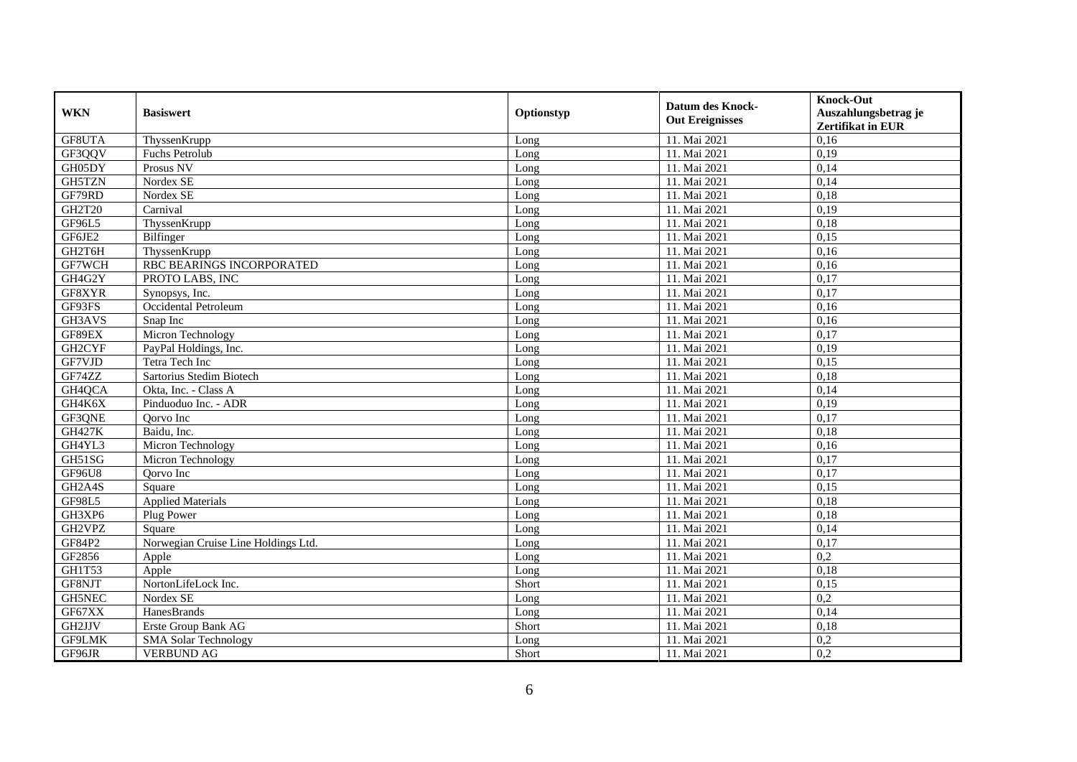| <b>WKN</b>                      | <b>Basiswert</b>                    | Optionstyp | <b>Datum des Knock-</b><br><b>Out Ereignisses</b> | <b>Knock-Out</b><br>Auszahlungsbetrag je<br>Zertifikat in EUR |
|---------------------------------|-------------------------------------|------------|---------------------------------------------------|---------------------------------------------------------------|
| GF8UTA                          | ThyssenKrupp                        | Long       | 11. Mai 2021                                      | 0,16                                                          |
| GF3QQV                          | <b>Fuchs Petrolub</b>               | Long       | 11. Mai 2021                                      | 0,19                                                          |
| GH05DY                          | Prosus NV                           | Long       | 11. Mai 2021                                      | 0,14                                                          |
| GH5TZN                          | Nordex SE                           | Long       | 11. Mai 2021                                      | 0,14                                                          |
| GF79RD                          | Nordex SE                           | Long       | 11. Mai 2021                                      | 0,18                                                          |
| <b>GH2T20</b>                   | Carnival                            | Long       | 11. Mai 2021                                      | 0,19                                                          |
| <b>GF96L5</b>                   | ThyssenKrupp                        | Long       | 11. Mai 2021                                      | 0,18                                                          |
| GF6JE2                          | Bilfinger                           | Long       | 11. Mai 2021                                      | 0,15                                                          |
| GH2T6H                          | ThyssenKrupp                        | Long       | 11. Mai 2021                                      | 0,16                                                          |
| GF7WCH                          | RBC BEARINGS INCORPORATED           | Long       | 11. Mai 2021                                      | 0,16                                                          |
| GH4G2Y                          | PROTO LABS, INC                     | Long       | 11. Mai 2021                                      | 0,17                                                          |
| GF8XYR                          | Synopsys, Inc.                      | Long       | 11. Mai 2021                                      | 0,17                                                          |
| GF93FS                          | Occidental Petroleum                | Long       | 11. Mai 2021                                      | 0,16                                                          |
| GH3AVS                          | Snap Inc                            | Long       | 11. Mai 2021                                      | 0,16                                                          |
| GF89EX                          | Micron Technology                   | Long       | 11. Mai 2021                                      | 0,17                                                          |
| GH2CYF                          | PayPal Holdings, Inc.               | Long       | 11. Mai 2021                                      | 0,19                                                          |
| GF7VJD                          | Tetra Tech Inc                      | Long       | 11. Mai 2021                                      | 0,15                                                          |
| GF74ZZ                          | Sartorius Stedim Biotech            | Long       | 11. Mai 2021                                      | 0.18                                                          |
| GH4QCA                          | Okta, Inc. - Class A                | Long       | 11. Mai 2021                                      | 0,14                                                          |
| GH4K6X                          | Pinduoduo Inc. - ADR                | Long       | 11. Mai 2021                                      | 0,19                                                          |
| GF3QNE                          | Qorvo Inc                           | Long       | 11. Mai 2021                                      | 0,17                                                          |
| <b>GH427K</b>                   | Baidu, Inc.                         | Long       | 11. Mai 2021                                      | 0,18                                                          |
| GH4YL3                          | Micron Technology                   | Long       | 11. Mai 2021                                      | 0,16                                                          |
| GH51SG                          | Micron Technology                   | Long       | 11. Mai 2021                                      | 0,17                                                          |
| <b>GF96U8</b>                   | Oorvo Inc                           | Long       | 11. Mai 2021                                      | 0,17                                                          |
| GH2A4S                          | Square                              | Long       | 11. Mai 2021                                      | 0,15                                                          |
| <b>GF98L5</b>                   | <b>Applied Materials</b>            | Long       | 11. Mai 2021                                      | 0,18                                                          |
| GH3XP6                          | Plug Power                          | Long       | 11. Mai 2021                                      | 0,18                                                          |
| GH <sub>2</sub> VP <sub>Z</sub> | Square                              | Long       | 11. Mai 2021                                      | 0,14                                                          |
| GF84P2                          | Norwegian Cruise Line Holdings Ltd. | Long       | 11. Mai 2021                                      | 0,17                                                          |
| GF2856                          | Apple                               | Long       | 11. Mai 2021                                      | 0,2                                                           |
| GH1T53                          | Apple                               | Long       | 11. Mai 2021                                      | 0,18                                                          |
| GF8NJT                          | NortonLifeLock Inc.                 | Short      | 11. Mai 2021                                      | 0,15                                                          |
| <b>GH5NEC</b>                   | Nordex SE                           | Long       | 11. Mai 2021                                      | 0,2                                                           |
| GF67XX                          | HanesBrands                         | Long       | 11. Mai 2021                                      | 0,14                                                          |
| GH2JJV                          | Erste Group Bank AG                 | Short      | 11. Mai 2021                                      | 0,18                                                          |
| GF9LMK                          | <b>SMA Solar Technology</b>         | Long       | 11. Mai 2021                                      | 0,2                                                           |
| GF96JR                          | <b>VERBUND AG</b>                   | Short      | 11. Mai 2021                                      | 0,2                                                           |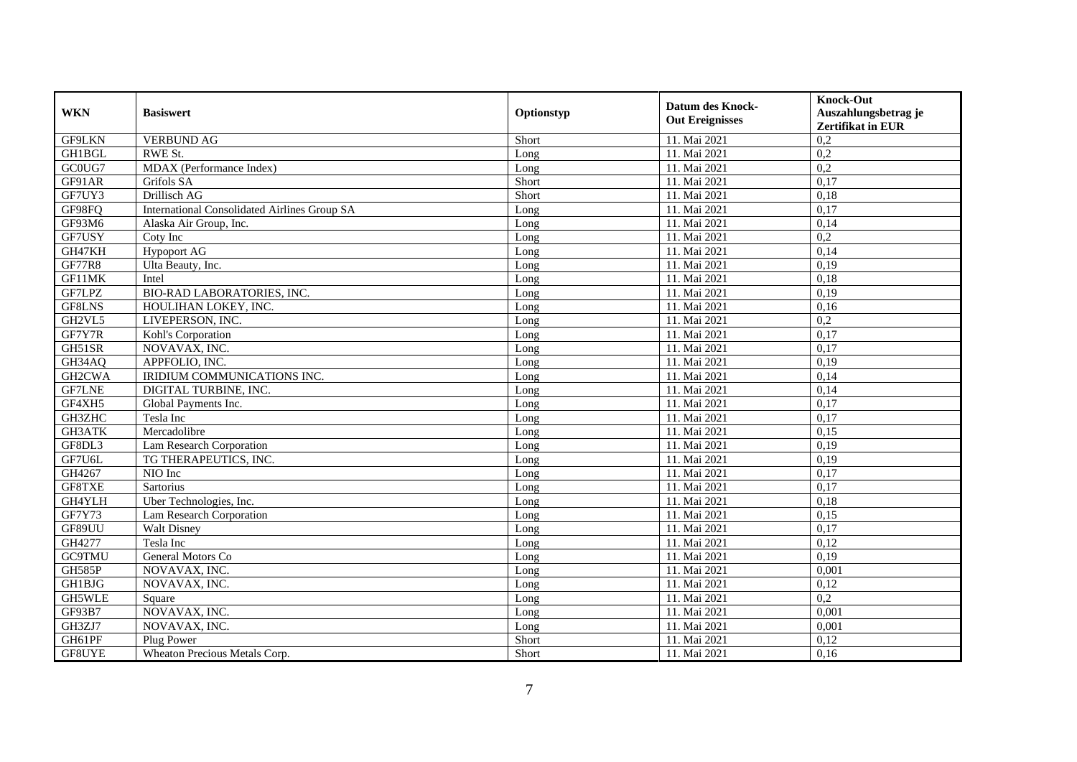| <b>WKN</b>     | <b>Basiswert</b>                                    | Optionstyp | <b>Datum des Knock-</b><br><b>Out Ereignisses</b> | <b>Knock-Out</b>         |
|----------------|-----------------------------------------------------|------------|---------------------------------------------------|--------------------------|
|                |                                                     |            |                                                   | Auszahlungsbetrag je     |
|                |                                                     |            |                                                   | <b>Zertifikat in EUR</b> |
| <b>GF9LKN</b>  | <b>VERBUND AG</b>                                   | Short      | 11. Mai 2021                                      | 0,2                      |
| <b>GH1BGL</b>  | RWE St.                                             | Long       | 11. Mai 2021                                      | $\overline{0,2}$         |
| GC0UG7         | MDAX (Performance Index)                            | Long       | 11. Mai 2021                                      | 0,2                      |
| GF91AR         | Grifols SA                                          | Short      | 11. Mai 2021                                      | 0,17                     |
| GF7UY3         | Drillisch AG                                        | Short      | 11. Mai 2021                                      | 0,18                     |
| GF98FQ         | <b>International Consolidated Airlines Group SA</b> | Long       | 11. Mai 2021                                      | 0,17                     |
| GF93M6         | Alaska Air Group, Inc.                              | Long       | 11. Mai 2021                                      | 0,14                     |
| GF7USY         | Coty Inc                                            | Long       | 11. Mai 2021                                      | 0,2                      |
| GH47KH         | <b>Hypoport AG</b>                                  | Long       | 11. Mai 2021                                      | 0,14                     |
| <b>GF77R8</b>  | Ulta Beauty, Inc.                                   | Long       | 11. Mai 2021                                      | 0,19                     |
| $GF1$ $1$ $MK$ | Intel                                               | Long       | 11. Mai 2021                                      | 0,18                     |
| GF7LPZ         | <b>BIO-RAD LABORATORIES, INC.</b>                   | Long       | 11. Mai 2021                                      | 0,19                     |
| GF8LNS         | HOULIHAN LOKEY, INC.                                | Long       | 11. Mai 2021                                      | 0,16                     |
| GH2VL5         | LIVEPERSON, INC.                                    | Long       | 11. Mai 2021                                      | 0,2                      |
| GF7Y7R         | Kohl's Corporation                                  | Long       | 11. Mai 2021                                      | 0,17                     |
| GH51SR         | NOVAVAX, INC.                                       | Long       | 11. Mai 2021                                      | 0,17                     |
| GH34AQ         | APPFOLIO, INC.                                      | Long       | 11. Mai 2021                                      | 0,19                     |
| GH2CWA         | IRIDIUM COMMUNICATIONS INC.                         | Long       | 11. Mai 2021                                      | 0,14                     |
| <b>GF7LNE</b>  | DIGITAL TURBINE, INC.                               | Long       | 11. Mai 2021                                      | 0,14                     |
| GF4XH5         | Global Payments Inc.                                | Long       | 11. Mai 2021                                      | 0,17                     |
| GH3ZHC         | Tesla Inc                                           | Long       | 11. Mai 2021                                      | 0,17                     |
| <b>GH3ATK</b>  | Mercadolibre                                        | Long       | 11. Mai 2021                                      | 0,15                     |
| GF8DL3         | Lam Research Corporation                            | Long       | 11. Mai 2021                                      | 0,19                     |
| GF7U6L         | TG THERAPEUTICS, INC.                               | Long       | 11. Mai 2021                                      | 0,19                     |
| GH4267         | NIO Inc                                             | Long       | 11. Mai 2021                                      | 0,17                     |
| GF8TXE         | <b>Sartorius</b>                                    | Long       | 11. Mai 2021                                      | 0,17                     |
| GH4YLH         | Uber Technologies, Inc.                             | Long       | 11. Mai 2021                                      | 0,18                     |
| GF7Y73         | Lam Research Corporation                            | Long       | 11. Mai 2021                                      | 0,15                     |
| GF89UU         | <b>Walt Disney</b>                                  | Long       | 11. Mai 2021                                      | 0,17                     |
| GH4277         | Tesla Inc                                           | Long       | 11. Mai 2021                                      | 0,12                     |
| <b>GC9TMU</b>  | General Motors Co                                   | Long       | 11. Mai 2021                                      | 0,19                     |
| <b>GH585P</b>  | NOVAVAX, INC.                                       | Long       | 11. Mai 2021                                      | 0,001                    |
| <b>GH1BJG</b>  | NOVAVAX, INC.                                       | Long       | 11. Mai 2021                                      | 0,12                     |
| GH5WLE         | Square                                              | Long       | 11. Mai 2021                                      | $\overline{0.2}$         |
| GF93B7         | NOVAVAX, INC.                                       | Long       | 11. Mai 2021                                      | 0,001                    |
| GH3ZJ7         | NOVAVAX, INC.                                       | Long       | 11. Mai 2021                                      | 0,001                    |
| GH61PF         | Plug Power                                          | Short      | 11. Mai 2021                                      | 0,12                     |
| GF8UYE         | Wheaton Precious Metals Corp.                       | Short      | 11. Mai 2021                                      | 0,16                     |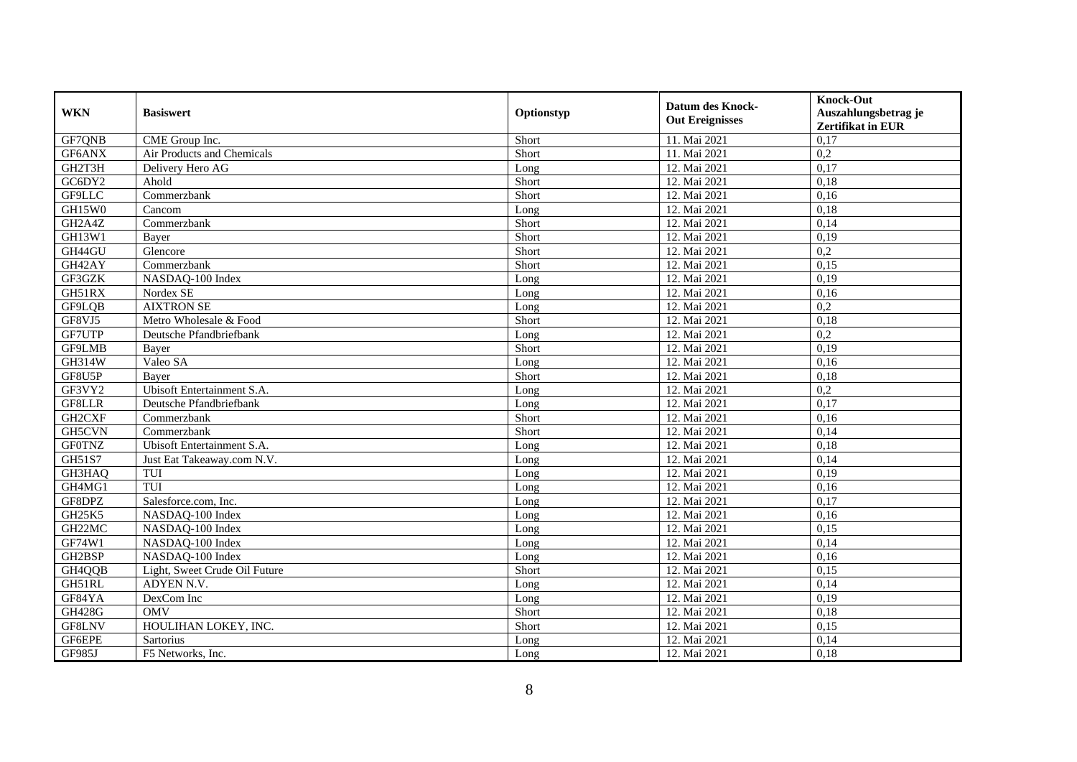| <b>WKN</b>                       | <b>Basiswert</b>              | Optionstyp | <b>Datum des Knock-</b><br><b>Out Ereignisses</b> | <b>Knock-Out</b><br>Auszahlungsbetrag je<br>Zertifikat in EUR |
|----------------------------------|-------------------------------|------------|---------------------------------------------------|---------------------------------------------------------------|
| GF7QNB                           | CME Group Inc.                | Short      | 11. Mai 2021                                      | 0,17                                                          |
| GF6ANX                           | Air Products and Chemicals    | Short      | 11. Mai 2021                                      | 0,2                                                           |
| GH2T3H                           | Delivery Hero AG              | Long       | 12. Mai 2021                                      | 0,17                                                          |
| GC6DY2                           | Ahold                         | Short      | 12. Mai 2021                                      | 0,18                                                          |
| GF9LLC                           | Commerzbank                   | Short      | 12. Mai 2021                                      | 0,16                                                          |
| GH15W0                           | Cancom                        | Long       | 12. Mai 2021                                      | 0.18                                                          |
| GH <sub>2</sub> A <sub>4</sub> Z | Commerzbank                   | Short      | 12. Mai 2021                                      | 0,14                                                          |
| GH13W1                           | Bayer                         | Short      | 12. Mai 2021                                      | 0,19                                                          |
| GH44GU                           | Glencore                      | Short      | 12. Mai 2021                                      | 0,2                                                           |
| GH42AY                           | Commerzbank                   | Short      | 12. Mai 2021                                      | 0,15                                                          |
| GF3GZK                           | NASDAQ-100 Index              | Long       | 12. Mai 2021                                      | 0,19                                                          |
| GH51RX                           | Nordex SE                     | Long       | 12. Mai 2021                                      | 0,16                                                          |
| GF9LQB                           | <b>AIXTRON SE</b>             | Long       | 12. Mai 2021                                      | 0,2                                                           |
| GF8VJ5                           | Metro Wholesale & Food        | Short      | 12. Mai 2021                                      | 0,18                                                          |
| GF7UTP                           | Deutsche Pfandbriefbank       | Long       | 12. Mai 2021                                      | 0,2                                                           |
| GF9LMB                           | Bayer                         | Short      | 12. Mai 2021                                      | 0,19                                                          |
| GH314W                           | Valeo SA                      | Long       | 12. Mai 2021                                      | 0,16                                                          |
| GF8U5P                           | <b>Baver</b>                  | Short      | 12. Mai 2021                                      | 0,18                                                          |
| GF3VY2                           | Ubisoft Entertainment S.A.    | Long       | 12. Mai 2021                                      | 0,2                                                           |
| GF8LLR                           | Deutsche Pfandbriefbank       | Long       | 12. Mai 2021                                      | 0,17                                                          |
| GH2CXF                           | Commerzbank                   | Short      | 12. Mai 2021                                      | 0,16                                                          |
| GH5CVN                           | Commerzbank                   | Short      | 12. Mai 2021                                      | 0,14                                                          |
| <b>GF0TNZ</b>                    | Ubisoft Entertainment S.A.    | Long       | 12. Mai 2021                                      | 0,18                                                          |
| GH51S7                           | Just Eat Takeaway.com N.V.    | Long       | 12. Mai 2021                                      | 0,14                                                          |
| GH3HAQ                           | TUI                           | Long       | 12. Mai 2021                                      | 0,19                                                          |
| GH4MG1                           | TUI                           | Long       | 12. Mai 2021                                      | 0,16                                                          |
| GF8DPZ                           | Salesforce.com, Inc.          | Long       | 12. Mai 2021                                      | 0,17                                                          |
| <b>GH25K5</b>                    | NASDAQ-100 Index              | Long       | 12. Mai 2021                                      | 0.16                                                          |
| GH22MC                           | NASDAQ-100 Index              | Long       | 12. Mai 2021                                      | 0,15                                                          |
| GF74W1                           | NASDAQ-100 Index              | Long       | 12. Mai 2021                                      | 0,14                                                          |
| GH2BSP                           | NASDAQ-100 Index              | Long       | 12. Mai 2021                                      | 0,16                                                          |
| GH4QQB                           | Light, Sweet Crude Oil Future | Short      | 12. Mai 2021                                      | 0,15                                                          |
| GH51RL                           | ADYEN N.V.                    | Long       | 12. Mai 2021                                      | 0,14                                                          |
| GF84YA                           | DexCom Inc                    | Long       | 12. Mai 2021                                      | 0,19                                                          |
| <b>GH428G</b>                    | <b>OMV</b>                    | Short      | 12. Mai 2021                                      | 0,18                                                          |
| GF8LNV                           | HOULIHAN LOKEY, INC.          | Short      | 12. Mai 2021                                      | 0,15                                                          |
| GF6EPE                           | Sartorius                     | Long       | 12. Mai 2021                                      | 0,14                                                          |
| GF985J                           | F5 Networks, Inc.             | Long       | 12. Mai 2021                                      | 0,18                                                          |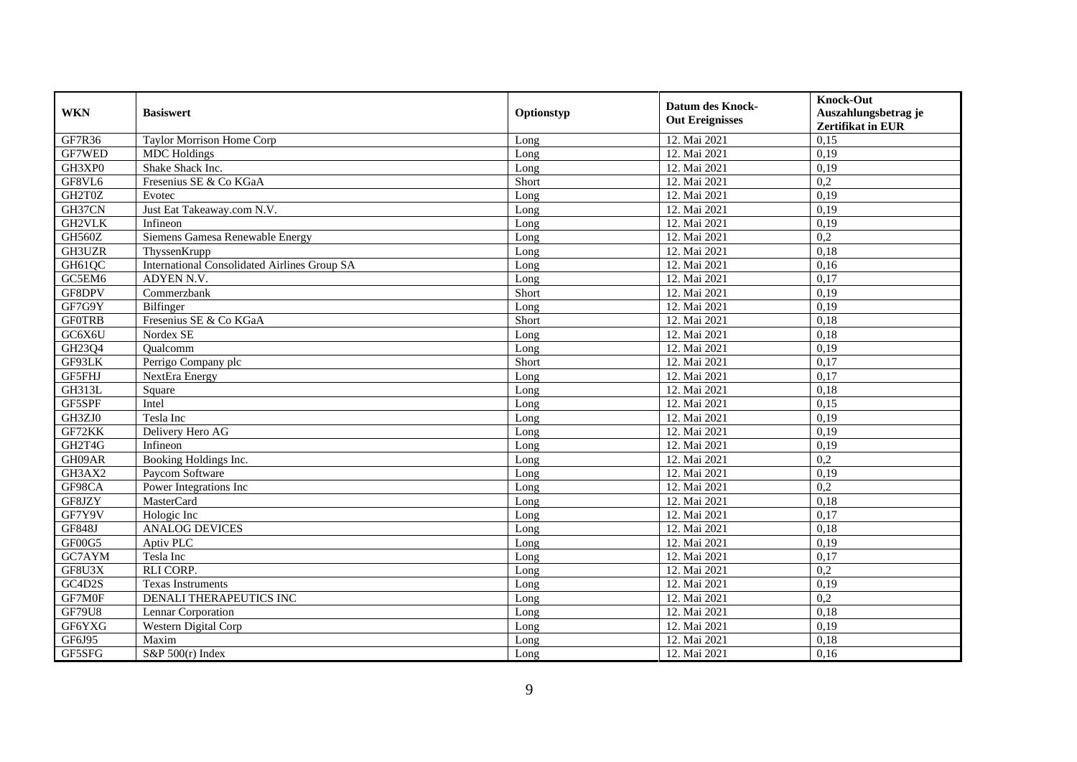| <b>WKN</b>    | <b>Basiswert</b>                                    |            | <b>Datum des Knock-</b> | <b>Knock-Out</b>         |
|---------------|-----------------------------------------------------|------------|-------------------------|--------------------------|
|               |                                                     | Optionstyp | <b>Out Ereignisses</b>  | Auszahlungsbetrag je     |
|               |                                                     |            |                         | <b>Zertifikat in EUR</b> |
| GF7R36        | <b>Taylor Morrison Home Corp</b>                    | Long       | 12. Mai 2021            | 0.15                     |
| GF7WED        | <b>MDC</b> Holdings                                 | Long       | 12. Mai 2021            | 0,19                     |
| GH3XP0        | Shake Shack Inc.                                    | Long       | 12. Mai 2021            | 0,19                     |
| GF8VL6        | Fresenius SE & Co KGaA                              | Short      | 12. Mai 2021            | 0,2                      |
| GH2T0Z        | Evotec                                              | Long       | 12. Mai 2021            | 0,19                     |
| GH37CN        | Just Eat Takeaway.com N.V.                          | Long       | 12. Mai 2021            | 0,19                     |
| GH2VLK        | Infineon                                            | Long       | 12. Mai 2021            | 0,19                     |
| GH560Z        | Siemens Gamesa Renewable Energy                     | Long       | 12. Mai 2021            | 0,2                      |
| GH3UZR        | ThyssenKrupp                                        | Long       | 12. Mai 2021            | 0,18                     |
| GH61QC        | <b>International Consolidated Airlines Group SA</b> | Long       | 12. Mai 2021            | 0,16                     |
| GC5EM6        | ADYEN N.V.                                          | Long       | 12. Mai 2021            | 0,17                     |
| GF8DPV        | Commerzbank                                         | Short      | 12. Mai 2021            | 0,19                     |
| GF7G9Y        | Bilfinger                                           | Long       | 12. Mai 2021            | 0,19                     |
| <b>GFOTRB</b> | Fresenius SE & Co KGaA                              | Short      | 12. Mai 2021            | 0,18                     |
| GC6X6U        | Nordex SE                                           | Long       | 12. Mai 2021            | 0.18                     |
| GH23Q4        | Oualcomm                                            | Long       | 12. Mai 2021            | 0,19                     |
| GF93LK        | Perrigo Company plc                                 | Short      | 12. Mai 2021            | 0,17                     |
| GF5FHJ        | NextEra Energy                                      | Long       | 12. Mai 2021            | 0,17                     |
| <b>GH313L</b> | Square                                              | Long       | 12. Mai 2021            | 0,18                     |
| GF5SPF        | Intel                                               | Long       | 12. Mai 2021            | 0,15                     |
| GH3ZJ0        | Tesla Inc                                           | Long       | 12. Mai 2021            | 0,19                     |
| GF72KK        | Delivery Hero AG                                    | Long       | 12. Mai 2021            | 0,19                     |
| GH2T4G        | Infineon                                            | Long       | 12. Mai 2021            | 0,19                     |
| GH09AR        | Booking Holdings Inc.                               | Long       | 12. Mai 2021            | 0,2                      |
| GH3AX2        | Paycom Software                                     | Long       | 12. Mai 2021            | 0,19                     |
| GF98CA        | Power Integrations Inc                              | Long       | 12. Mai 2021            | 0,2                      |
| GF8JZY        | MasterCard                                          | Long       | 12. Mai 2021            | 0,18                     |
| GF7Y9V        | Hologic Inc                                         | Long       | 12. Mai 2021            | 0,17                     |
| GF848J        | <b>ANALOG DEVICES</b>                               | Long       | 12. Mai 2021            | 0,18                     |
| GF00G5        | Aptiv PLC                                           | Long       | 12. Mai 2021            | 0,19                     |
| GC7AYM        | Tesla Inc                                           | Long       | 12. Mai 2021            | 0,17                     |
| GF8U3X        | <b>RLI CORP.</b>                                    | Long       | 12. Mai 2021            | 0,2                      |
| GC4D2S        | <b>Texas Instruments</b>                            | Long       | 12. Mai 2021            | 0,19                     |
| GF7M0F        | <b>DENALI THERAPEUTICS INC</b>                      | Long       | 12. Mai 2021            | 0,2                      |
| <b>GF79U8</b> | Lennar Corporation                                  | Long       | 12. Mai 2021            | 0,18                     |
| GF6YXG        | Western Digital Corp                                | Long       | 12. Mai 2021            | 0,19                     |
| GF6J95        | Maxim                                               | Long       | 12. Mai 2021            | 0,18                     |
| GF5SFG        | S&P $500(r)$ Index                                  | Long       | 12. Mai 2021            | 0,16                     |